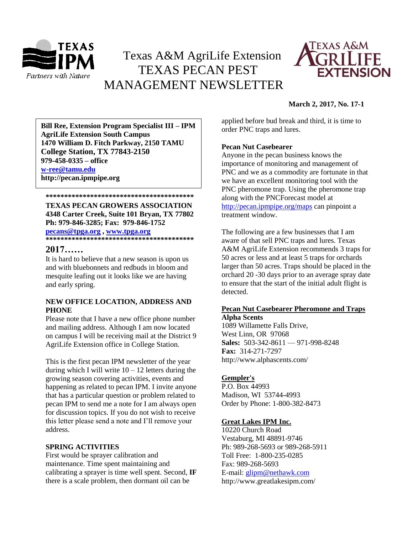

# Texas A&M AgriLife Extension TEXAS PECAN PEST MANAGEMENT NEWSLETTER



# **March 2, 2017, No. 17-1**

**\*\*\*\*\*\*\*\*\*\*\*\*\*\*\*\*\*\*\*\*\*\*\*\*\*\*\*\*\*\*\*\*\*\*\*\*\*\*\*\* 1470 William D. Fitch Parkway, 2150 TAMU Bill Ree, Extension Program Specialist III – IPM AgriLife Extension South Campus College Station, TX 77843-2150 979-458-0335 – office [w-ree@tamu.edu](mailto:w-ree@tamu.edu) http://pecan.ipmpipe.org**

**\*\*\*\*\*\*\*\*\*\*\*\*\*\*\*\*\*\*\*\*\*\*\*\*\*\*\*\*\*\*\*\*\*\*\*\*\*\*\*\* TEXAS PECAN GROWERS ASSOCIATION 4348 Carter Creek, Suite 101 Bryan, TX 77802 Ph: 979-846-3285; Fax: 979-846-1752 [pecans@tpga.org](mailto:pecans@tpga.org) , [www.tpga.org](http://www.tpga.org/) \*\*\*\*\*\*\*\*\*\*\*\*\*\*\*\*\*\*\*\*\*\*\*\*\*\*\*\*\*\*\*\*\*\*\*\*\*\*\*\***

# **2017……**

It is hard to believe that a new season is upon us and with bluebonnets and redbuds in bloom and mesquite leafing out it looks like we are having and early spring.

# **NEW OFFICE LOCATION, ADDRESS AND PHONE**

Please note that I have a new office phone number and mailing address. Although I am now located on campus I will be receiving mail at the District 9 AgriLife Extension office in College Station.

This is the first pecan IPM newsletter of the year during which I will write  $10 - 12$  letters during the growing season covering activities, events and happening as related to pecan IPM. I invite anyone that has a particular question or problem related to pecan IPM to send me a note for I am always open for discussion topics. If you do not wish to receive this letter please send a note and I'll remove your address.

# **SPRING ACTIVITIES**

First would be sprayer calibration and maintenance. Time spent maintaining and calibrating a sprayer is time well spent. Second, **IF** there is a scale problem, then dormant oil can be

applied before bud break and third, it is time to order PNC traps and lures.

# **Pecan Nut Casebearer**

Anyone in the pecan business knows the importance of monitoring and management of PNC and we as a commodity are fortunate in that we have an excellent monitoring tool with the PNC pheromone trap. Using the pheromone trap along with the PNCForecast model at <http://pecan.ipmpipe.org/maps> can pinpoint a treatment window.

The following are a few businesses that I am aware of that sell PNC traps and lures. Texas A&M AgriLife Extension recommends 3 traps for 50 acres or less and at least 5 traps for orchards larger than 50 acres. Traps should be placed in the orchard 20 -30 days prior to an average spray date to ensure that the start of the initial adult flight is detected.

# **Pecan Nut Casebearer Pheromone and Traps**

**Alpha Scents**  1089 Willamette Falls Drive, West Linn, OR 97068 **Sales:** 503-342-8611 — 971-998-8248 **Fax:** 314-271-7297 http://www.alphascents.com/

# **[Gempler's](http://www.gemplers.com/)**

P.O. Box 44993 Madison, WI 53744-4993 Order by Phone: 1-800-382-8473

# **[Great Lakes IPM Inc.](http://www.greatlakesipm.com/)**

10220 Church Road Vestaburg, MI 48891-9746 Ph: 989-268-5693 or 989-268-5911 Toll Free: 1-800-235-0285 Fax: 989-268-5693 E-mail: [glipm@nethawk.com](mailto:glipm@nethawk.com) http://www.greatlakesipm.com/